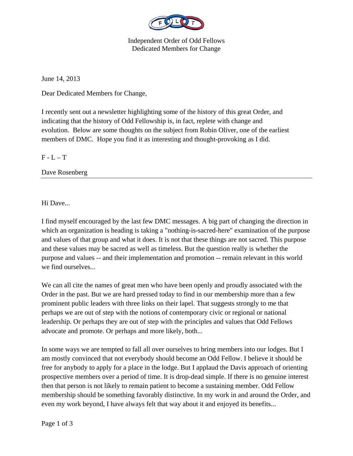

Independent Order of Odd Fellows Dedicated Members for Change

June 14, 2013

Dear Dedicated Members for Change,

I recently sent out a newsletter highlighting some of the history of this great Order, and indicating that the history of Odd Fellowship is, in fact, replete with change and evolution. Below are some thoughts on the subject from Robin Oliver, one of the earliest members of DMC. Hope you find it as interesting and thought-provoking as I did.

 $F - L - T$ 

Dave Rosenberg

Hi Dave...

I find myself encouraged by the last few DMC messages. A big part of changing the direction in which an organization is heading is taking a "nothing-is-sacred-here" examination of the purpose and values of that group and what it does. It is not that these things are not sacred. This purpose and these values may be sacred as well as timeless. But the question really is whether the purpose and values -- and their implementation and promotion -- remain relevant in this world we find ourselves...

We can all cite the names of great men who have been openly and proudly associated with the Order in the past. But we are hard pressed today to find in our membership more than a few prominent public leaders with three links on their lapel. That suggests strongly to me that perhaps we are out of step with the notions of contemporary civic or regional or national leadership. Or perhaps they are out of step with the principles and values that Odd Fellows advocate and promote. Or perhaps and more likely, both...

In some ways we are tempted to fall all over ourselves to bring members into our lodges. But I am mostly convinced that not everybody should become an Odd Fellow. I believe it should be free for anybody to apply for a place in the lodge. But I applaud the Davis approach of orienting prospective members over a period of time. It is drop-dead simple. If there is no genuine interest then that person is not likely to remain patient to become a sustaining member. Odd Fellow membership should be something favorably distinctive. In my work in and around the Order, and even my work beyond, I have always felt that way about it and enjoyed its benefits...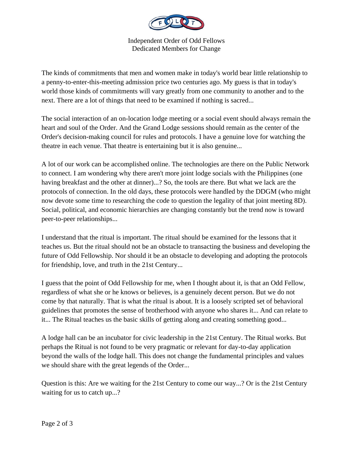

Independent Order of Odd Fellows Dedicated Members for Change

The kinds of commitments that men and women make in today's world bear little relationship to a penny-to-enter-this-meeting admission price two centuries ago. My guess is that in today's world those kinds of commitments will vary greatly from one community to another and to the next. There are a lot of things that need to be examined if nothing is sacred...

The social interaction of an on-location lodge meeting or a social event should always remain the heart and soul of the Order. And the Grand Lodge sessions should remain as the center of the Order's decision-making council for rules and protocols. I have a genuine love for watching the theatre in each venue. That theatre is entertaining but it is also genuine...

A lot of our work can be accomplished online. The technologies are there on the Public Network to connect. I am wondering why there aren't more joint lodge socials with the Philippines (one having breakfast and the other at dinner)...? So, the tools are there. But what we lack are the protocols of connection. In the old days, these protocols were handled by the DDGM (who might now devote some time to researching the code to question the legality of that joint meeting 8D). Social, political, and economic hierarchies are changing constantly but the trend now is toward peer-to-peer relationships...

I understand that the ritual is important. The ritual should be examined for the lessons that it teaches us. But the ritual should not be an obstacle to transacting the business and developing the future of Odd Fellowship. Nor should it be an obstacle to developing and adopting the protocols for friendship, love, and truth in the 21st Century...

I guess that the point of Odd Fellowship for me, when I thought about it, is that an Odd Fellow, regardless of what she or he knows or believes, is a genuinely decent person. But we do not come by that naturally. That is what the ritual is about. It is a loosely scripted set of behavioral guidelines that promotes the sense of brotherhood with anyone who shares it... And can relate to it... The Ritual teaches us the basic skills of getting along and creating something good...

A lodge hall can be an incubator for civic leadership in the 21st Century. The Ritual works. But perhaps the Ritual is not found to be very pragmatic or relevant for day-to-day application beyond the walls of the lodge hall. This does not change the fundamental principles and values we should share with the great legends of the Order...

Question is this: Are we waiting for the 21st Century to come our way...? Or is the 21st Century waiting for us to catch up...?